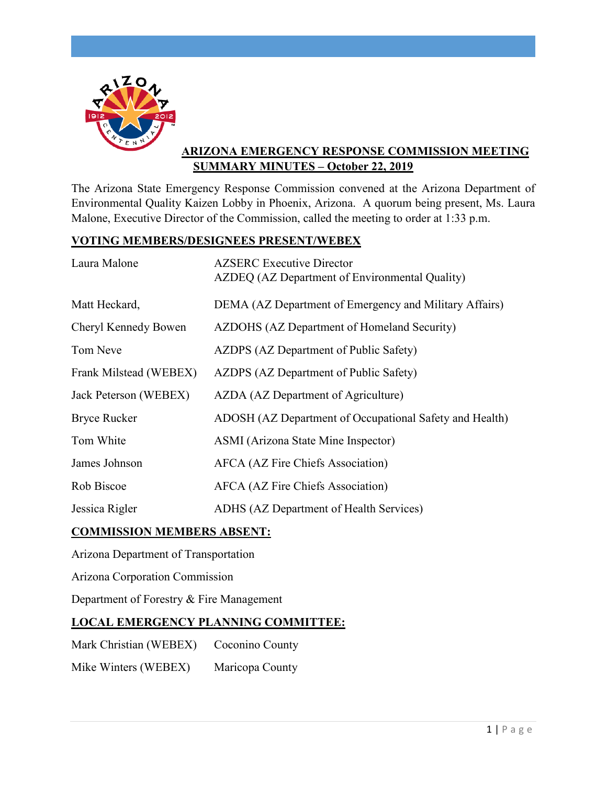

# **ARIZONA EMERGENCY RESPONSE COMMISSION MEETING SUMMARY MINUTES – October 22, 2019**

The Arizona State Emergency Response Commission convened at the Arizona Department of Environmental Quality Kaizen Lobby in Phoenix, Arizona. A quorum being present, Ms. Laura Malone, Executive Director of the Commission, called the meeting to order at 1:33 p.m.

# **VOTING MEMBERS/DESIGNEES PRESENT/WEBEX**

| Laura Malone           | <b>AZSERC</b> Executive Director<br>AZDEQ (AZ Department of Environmental Quality) |
|------------------------|------------------------------------------------------------------------------------|
| Matt Heckard,          | DEMA (AZ Department of Emergency and Military Affairs)                             |
| Cheryl Kennedy Bowen   | AZDOHS (AZ Department of Homeland Security)                                        |
| Tom Neve               | AZDPS (AZ Department of Public Safety)                                             |
| Frank Milstead (WEBEX) | AZDPS (AZ Department of Public Safety)                                             |
| Jack Peterson (WEBEX)  | AZDA (AZ Department of Agriculture)                                                |
| <b>Bryce Rucker</b>    | ADOSH (AZ Department of Occupational Safety and Health)                            |
| Tom White              | ASMI (Arizona State Mine Inspector)                                                |
| James Johnson          | <b>AFCA</b> (AZ Fire Chiefs Association)                                           |
| Rob Biscoe             | <b>AFCA</b> (AZ Fire Chiefs Association)                                           |
| Jessica Rigler         | ADHS (AZ Department of Health Services)                                            |

# **COMMISSION MEMBERS ABSENT:**

Arizona Department of Transportation

Arizona Corporation Commission

Department of Forestry & Fire Management

# **LOCAL EMERGENCY PLANNING COMMITTEE:**

Mark Christian (WEBEX) Coconino County

Mike Winters (WEBEX) Maricopa County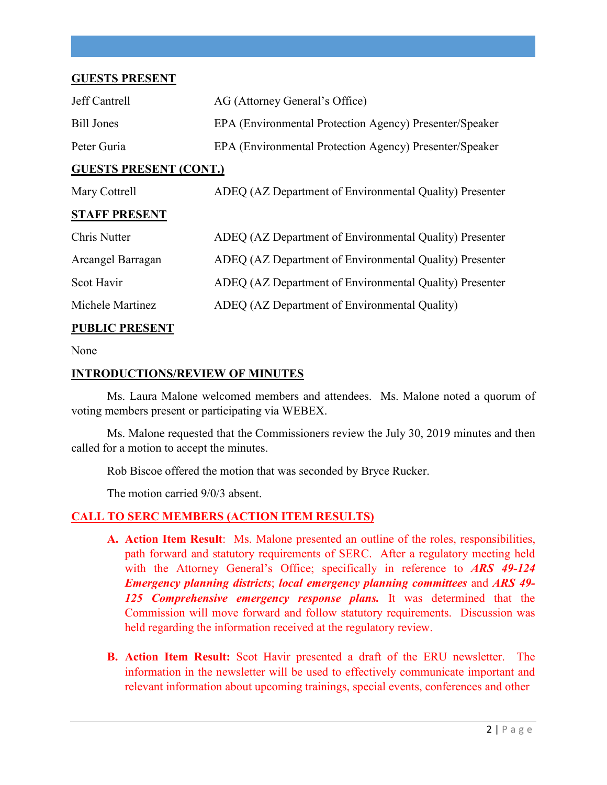## **GUESTS PRESENT**

| Jeff Cantrell                 | AG (Attorney General's Office)                          |
|-------------------------------|---------------------------------------------------------|
| Bill Jones                    | EPA (Environmental Protection Agency) Presenter/Speaker |
| Peter Guria                   | EPA (Environmental Protection Agency) Presenter/Speaker |
| <b>GUESTS PRESENT (CONT.)</b> |                                                         |
| Mary Cottrell                 | ADEQ (AZ Department of Environmental Quality) Presenter |
| <b>STAFF PRESENT</b>          |                                                         |
| Chris Nutter                  | ADEQ (AZ Department of Environmental Quality) Presenter |
| Arcangel Barragan             | ADEQ (AZ Department of Environmental Quality) Presenter |
| Scot Havir                    | ADEQ (AZ Department of Environmental Quality) Presenter |
| Michele Martinez              | ADEQ (AZ Department of Environmental Quality)           |
|                               |                                                         |

# **PUBLIC PRESENT**

#### None

## **INTRODUCTIONS/REVIEW OF MINUTES**

Ms. Laura Malone welcomed members and attendees. Ms. Malone noted a quorum of voting members present or participating via WEBEX.

Ms. Malone requested that the Commissioners review the July 30, 2019 minutes and then called for a motion to accept the minutes.

Rob Biscoe offered the motion that was seconded by Bryce Rucker.

The motion carried 9/0/3 absent.

# **CALL TO SERC MEMBERS (ACTION ITEM RESULTS)**

- **A. Action Item Result**: Ms. Malone presented an outline of the roles, responsibilities, path forward and statutory requirements of SERC. After a regulatory meeting held with the Attorney General's Office; specifically in reference to *ARS 49-124 Emergency planning districts*; *local emergency planning committees* and *ARS 49- 125 Comprehensive emergency response plans.* It was determined that the Commission will move forward and follow statutory requirements. Discussion was held regarding the information received at the regulatory review.
- **B. Action Item Result:** Scot Havir presented a draft of the ERU newsletter. The information in the newsletter will be used to effectively communicate important and relevant information about upcoming trainings, special events, conferences and other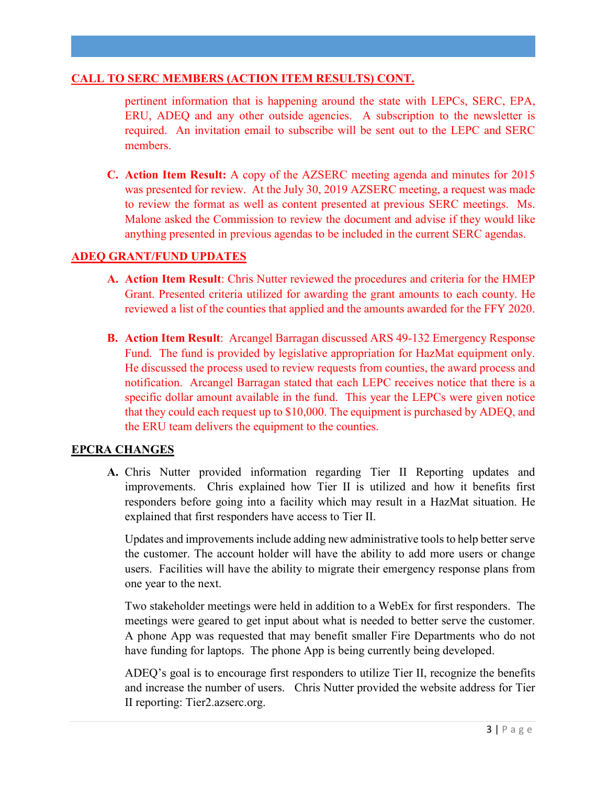## **CALL TO SERC MEMBERS (ACTION ITEM RESULTS) CONT.**

pertinent information that is happening around the state with LEPCs, SERC, EPA, ERU, ADEQ and any other outside agencies. A subscription to the newsletter is required. An invitation email to subscribe will be sent out to the LEPC and SERC members.

**C. Action Item Result:** A copy of the AZSERC meeting agenda and minutes for 2015 was presented for review. At the July 30, 2019 AZSERC meeting, a request was made to review the format as well as content presented at previous SERC meetings. Ms. Malone asked the Commission to review the document and advise if they would like anything presented in previous agendas to be included in the current SERC agendas.

# **ADEQ GRANT/FUND UPDATES**

- **A. Action Item Result**: Chris Nutter reviewed the procedures and criteria for the HMEP Grant. Presented criteria utilized for awarding the grant amounts to each county. He reviewed a list of the counties that applied and the amounts awarded for the FFY 2020.
- **B. Action Item Result**: Arcangel Barragan discussed ARS 49-132 Emergency Response Fund. The fund is provided by legislative appropriation for HazMat equipment only. He discussed the process used to review requests from counties, the award process and notification. Arcangel Barragan stated that each LEPC receives notice that there is a specific dollar amount available in the fund. This year the LEPCs were given notice that they could each request up to \$10,000. The equipment is purchased by ADEQ, and the ERU team delivers the equipment to the counties.

# **EPCRA CHANGES**

**A.** Chris Nutter provided information regarding Tier II Reporting updates and improvements. Chris explained how Tier II is utilized and how it benefits first responders before going into a facility which may result in a HazMat situation. He explained that first responders have access to Tier II.

Updates and improvements include adding new administrative tools to help better serve the customer. The account holder will have the ability to add more users or change users. Facilities will have the ability to migrate their emergency response plans from one year to the next.

Two stakeholder meetings were held in addition to a WebEx for first responders. The meetings were geared to get input about what is needed to better serve the customer. A phone App was requested that may benefit smaller Fire Departments who do not have funding for laptops. The phone App is being currently being developed.

ADEQ's goal is to encourage first responders to utilize Tier II, recognize the benefits and increase the number of users. Chris Nutter provided the website address for Tier II reporting: Tier2.azserc.org.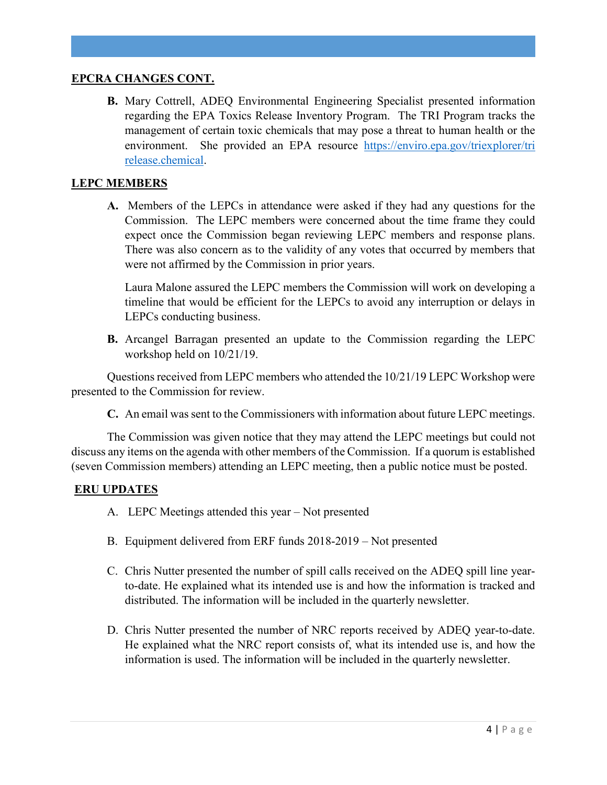## **EPCRA CHANGES CONT.**

**B.** Mary Cottrell, ADEQ Environmental Engineering Specialist presented information regarding the EPA Toxics Release Inventory Program. The TRI Program tracks the management of certain toxic chemicals that may pose a threat to human health or the environment. She provided an EPA resource https://enviro.epa.gov/triexplorer/tri [release.chemical.](https://enviro.epa.gov/triexplorer/tri%20release.chemical)

## **LEPC MEMBERS**

**A.** Members of the LEPCs in attendance were asked if they had any questions for the Commission. The LEPC members were concerned about the time frame they could expect once the Commission began reviewing LEPC members and response plans. There was also concern as to the validity of any votes that occurred by members that were not affirmed by the Commission in prior years.

Laura Malone assured the LEPC members the Commission will work on developing a timeline that would be efficient for the LEPCs to avoid any interruption or delays in LEPCs conducting business.

**B.** Arcangel Barragan presented an update to the Commission regarding the LEPC workshop held on 10/21/19.

Questions received from LEPC members who attended the 10/21/19 LEPC Workshop were presented to the Commission for review.

**C.** An email was sent to the Commissioners with information about future LEPC meetings.

The Commission was given notice that they may attend the LEPC meetings but could not discuss any items on the agenda with other members of the Commission. If a quorum is established (seven Commission members) attending an LEPC meeting, then a public notice must be posted.

# **ERU UPDATES**

- A. LEPC Meetings attended this year Not presented
- B. Equipment delivered from ERF funds 2018-2019 Not presented
- C. Chris Nutter presented the number of spill calls received on the ADEQ spill line yearto-date. He explained what its intended use is and how the information is tracked and distributed. The information will be included in the quarterly newsletter.
- D. Chris Nutter presented the number of NRC reports received by ADEQ year-to-date. He explained what the NRC report consists of, what its intended use is, and how the information is used. The information will be included in the quarterly newsletter.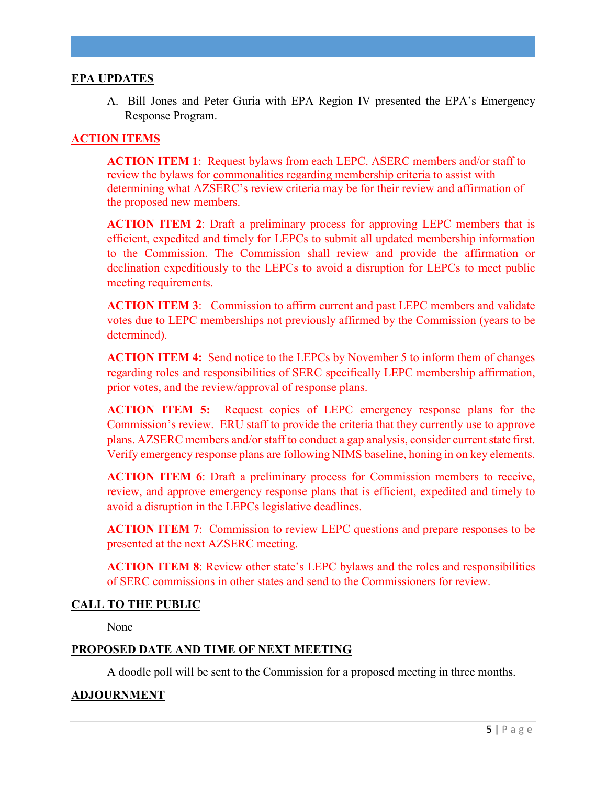## **EPA UPDATES**

A. Bill Jones and Peter Guria with EPA Region IV presented the EPA's Emergency Response Program.

## **ACTION ITEMS**

**ACTION ITEM 1**: Request bylaws from each LEPC. ASERC members and/or staff to review the bylaws for commonalities regarding membership criteria to assist with determining what AZSERC's review criteria may be for their review and affirmation of the proposed new members.

**ACTION ITEM 2**: Draft a preliminary process for approving LEPC members that is efficient, expedited and timely for LEPCs to submit all updated membership information to the Commission. The Commission shall review and provide the affirmation or declination expeditiously to the LEPCs to avoid a disruption for LEPCs to meet public meeting requirements.

**ACTION ITEM 3**: Commission to affirm current and past LEPC members and validate votes due to LEPC memberships not previously affirmed by the Commission (years to be determined).

**ACTION ITEM 4:** Send notice to the LEPCs by November 5 to inform them of changes regarding roles and responsibilities of SERC specifically LEPC membership affirmation, prior votes, and the review/approval of response plans.

**ACTION ITEM 5:** Request copies of LEPC emergency response plans for the Commission's review. ERU staff to provide the criteria that they currently use to approve plans. AZSERC members and/or staff to conduct a gap analysis, consider current state first. Verify emergency response plans are following NIMS baseline, honing in on key elements.

**ACTION ITEM 6**: Draft a preliminary process for Commission members to receive, review, and approve emergency response plans that is efficient, expedited and timely to avoid a disruption in the LEPCs legislative deadlines.

**ACTION ITEM 7**: Commission to review LEPC questions and prepare responses to be presented at the next AZSERC meeting.

**ACTION ITEM 8**: Review other state's LEPC bylaws and the roles and responsibilities of SERC commissions in other states and send to the Commissioners for review.

## **CALL TO THE PUBLIC**

None

## **PROPOSED DATE AND TIME OF NEXT MEETING**

A doodle poll will be sent to the Commission for a proposed meeting in three months.

## **ADJOURNMENT**